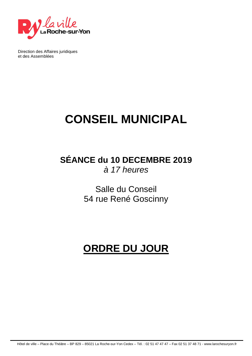

Direction des Affaires juridiques et des Assemblées

# **CONSEIL MUNICIPAL**

**SÉANCE du 10 DECEMBRE 2019**  à 17 heures

> Salle du Conseil 54 rue René Goscinny

## **ORDRE DU JOUR**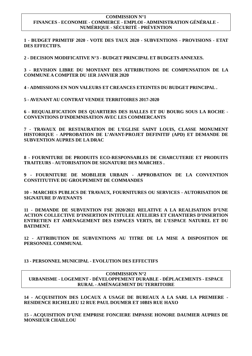#### **COMMISSION N°1 FINANCES - ECONOMIE - COMMERCE - EMPLOI - ADMINISTRATION GÉNÉRALE - NUMÉRIQUE - SÉCURITÉ - PRÉVENTION**

**1 - BUDGET PRIMITIF 2020 - VOTE DES TAUX 2020 - SUBVENTIONS - PROVISIONS - ETAT DES EFFECTIFS.**

**2 - DECISION MODIFICATIVE N°3 - BUDGET PRINCIPAL ET BUDGETS ANNEXES.**

**3 - REVISION LIBRE DU MONTANT DES ATTRIBUTIONS DE COMPENSATION DE LA COMMUNE A COMPTER DU 1ER JANVIER 2020**

**4 - ADMISSIONS EN NON VALEURS ET CREANCES ETEINTES DU BUDGET PRINCIPAL .**

**5 - AVENANT AU CONTRAT VENDEE TERRITOIRES 2017-2020** 

**6 - REQUALIFICATION DES QUARTIERS DES HALLES ET DU BOURG SOUS LA ROCHE - CONVENTIONS D'INDEMNISATION AVEC LES COMMERCANTS**

**7 - TRAVAUX DE RESTAURATION DE L'EGLISE SAINT LOUIS, CLASSE MONUMENT HISTORIQUE - APPROBATION DE L'AVANT-PROJET DEFINITIF (APD) ET DEMANDE DE SUBVENTION AUPRES DE LA DRAC** 

**8 - FOURNITURE DE PRODUITS ECO-RESPONSABLES DE CHARCUTERIE ET PRODUITS TRAITEURS - AUTORISATION DE SIGNATURE DES MARCHES .**

**9 - FOURNITURE DE MOBILIER URBAIN - APPROBATION DE LA CONVENTION CONSTITUTIVE DU GROUPEMENT DE COMMANDES**

**10 - MARCHES PUBLICS DE TRAVAUX, FOURNITURES OU SERVICES - AUTORISATION DE SIGNATURE D'AVENANTS**

**11 - DEMANDE DE SUBVENTION FSE 2020/2021 RELATIVE A LA REALISATION D'UNE ACTION COLLECTIVE D'INSERTION INTITULEE ATELIERS ET CHANTIERS D'INSERTION ENTRETIEN ET AMENAGEMENT DES ESPACES VERTS, DE L'ESPACE NATUREL ET DU BATIMENT.**

**12 - ATTRIBUTION DE SUBVENTIONS AU TITRE DE LA MISE A DISPOSITION DE PERSONNEL COMMUNAL** 

### **13 - PERSONNEL MUNICIPAL - EVOLUTION DES EFFECTIFS**

#### **COMMISSION N°2 URBANISME - LOGEMENT - DÉVELOPPEMENT DURABLE - DÉPLACEMENTS - ESPACE RURAL - AMÉNAGEMENT DU TERRITOIRE**

**14 - ACQUISITION DES LOCAUX A USAGE DE BUREAUX A LA SARL LA PREMIERE - RESIDENCE RICHELIEU 12 RUE PAUL DOUMER ET 10BIS RUE HAXO**

**15 - ACQUISITION D'UNE EMPRISE FONCIERE IMPASSE HONORE DAUMIER AUPRES DE MONSIEUR CHAILLOU**